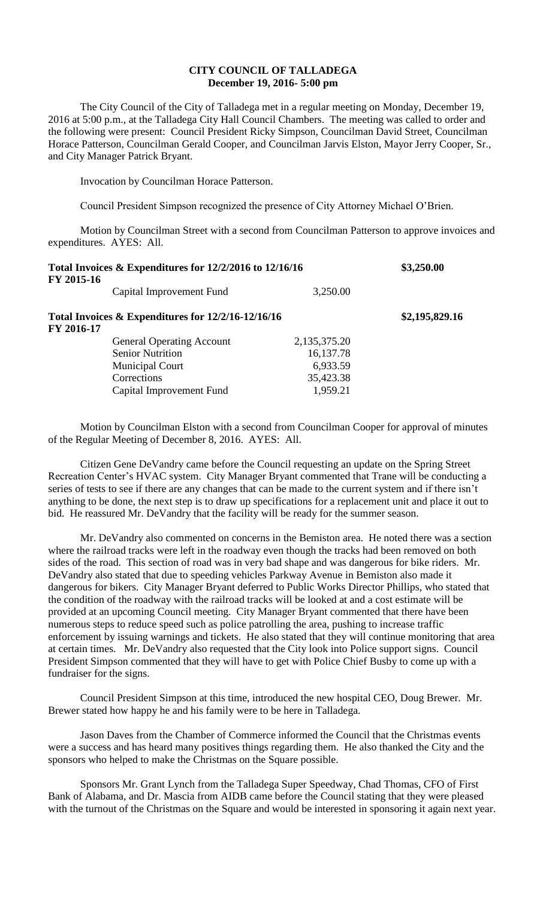## **CITY COUNCIL OF TALLADEGA December 19, 2016- 5:00 pm**

The City Council of the City of Talladega met in a regular meeting on Monday, December 19, 2016 at 5:00 p.m., at the Talladega City Hall Council Chambers. The meeting was called to order and the following were present: Council President Ricky Simpson, Councilman David Street, Councilman Horace Patterson, Councilman Gerald Cooper, and Councilman Jarvis Elston, Mayor Jerry Cooper, Sr., and City Manager Patrick Bryant.

Invocation by Councilman Horace Patterson.

Council President Simpson recognized the presence of City Attorney Michael O'Brien.

Motion by Councilman Street with a second from Councilman Patterson to approve invoices and expenditures. AYES: All.

| Total Invoices & Expenditures for 12/2/2016 to 12/16/16<br>FY 2015-16 |              | \$3,250.00     |
|-----------------------------------------------------------------------|--------------|----------------|
| Capital Improvement Fund                                              | 3,250.00     |                |
| Total Invoices & Expenditures for 12/2/16-12/16/16<br>FY 2016-17      |              | \$2,195,829.16 |
| <b>General Operating Account</b>                                      | 2,135,375.20 |                |
| <b>Senior Nutrition</b>                                               | 16,137.78    |                |
| <b>Municipal Court</b>                                                | 6,933.59     |                |
| Corrections                                                           | 35,423.38    |                |
| Capital Improvement Fund                                              | 1,959.21     |                |

Motion by Councilman Elston with a second from Councilman Cooper for approval of minutes of the Regular Meeting of December 8, 2016. AYES: All.

Citizen Gene DeVandry came before the Council requesting an update on the Spring Street Recreation Center's HVAC system. City Manager Bryant commented that Trane will be conducting a series of tests to see if there are any changes that can be made to the current system and if there isn't anything to be done, the next step is to draw up specifications for a replacement unit and place it out to bid. He reassured Mr. DeVandry that the facility will be ready for the summer season.

Mr. DeVandry also commented on concerns in the Bemiston area. He noted there was a section where the railroad tracks were left in the roadway even though the tracks had been removed on both sides of the road. This section of road was in very bad shape and was dangerous for bike riders. Mr. DeVandry also stated that due to speeding vehicles Parkway Avenue in Bemiston also made it dangerous for bikers. City Manager Bryant deferred to Public Works Director Phillips, who stated that the condition of the roadway with the railroad tracks will be looked at and a cost estimate will be provided at an upcoming Council meeting. City Manager Bryant commented that there have been numerous steps to reduce speed such as police patrolling the area, pushing to increase traffic enforcement by issuing warnings and tickets. He also stated that they will continue monitoring that area at certain times. Mr. DeVandry also requested that the City look into Police support signs. Council President Simpson commented that they will have to get with Police Chief Busby to come up with a fundraiser for the signs.

Council President Simpson at this time, introduced the new hospital CEO, Doug Brewer. Mr. Brewer stated how happy he and his family were to be here in Talladega.

Jason Daves from the Chamber of Commerce informed the Council that the Christmas events were a success and has heard many positives things regarding them. He also thanked the City and the sponsors who helped to make the Christmas on the Square possible.

Sponsors Mr. Grant Lynch from the Talladega Super Speedway, Chad Thomas, CFO of First Bank of Alabama, and Dr. Mascia from AIDB came before the Council stating that they were pleased with the turnout of the Christmas on the Square and would be interested in sponsoring it again next year.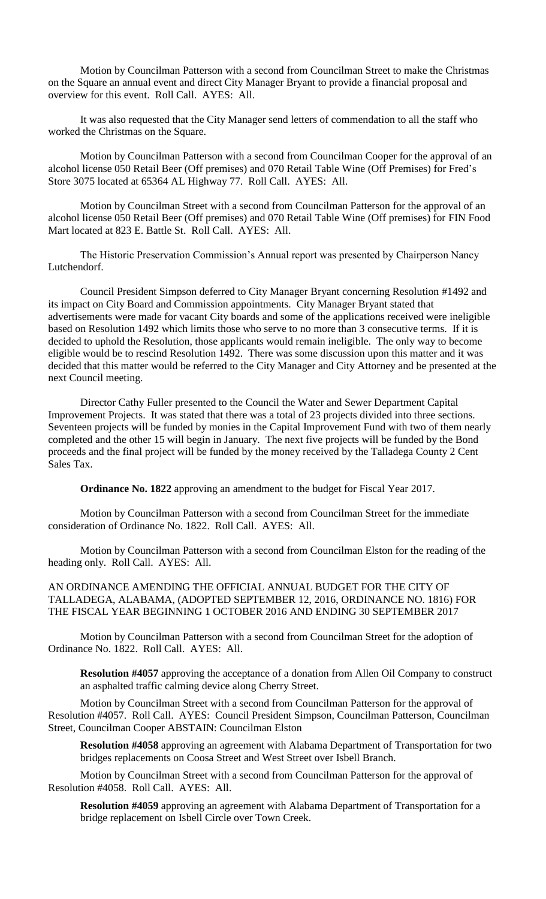Motion by Councilman Patterson with a second from Councilman Street to make the Christmas on the Square an annual event and direct City Manager Bryant to provide a financial proposal and overview for this event. Roll Call. AYES: All.

It was also requested that the City Manager send letters of commendation to all the staff who worked the Christmas on the Square.

Motion by Councilman Patterson with a second from Councilman Cooper for the approval of an alcohol license 050 Retail Beer (Off premises) and 070 Retail Table Wine (Off Premises) for Fred's Store 3075 located at 65364 AL Highway 77. Roll Call. AYES: All.

Motion by Councilman Street with a second from Councilman Patterson for the approval of an alcohol license 050 Retail Beer (Off premises) and 070 Retail Table Wine (Off premises) for FIN Food Mart located at 823 E. Battle St. Roll Call. AYES: All.

The Historic Preservation Commission's Annual report was presented by Chairperson Nancy Lutchendorf.

Council President Simpson deferred to City Manager Bryant concerning Resolution #1492 and its impact on City Board and Commission appointments. City Manager Bryant stated that advertisements were made for vacant City boards and some of the applications received were ineligible based on Resolution 1492 which limits those who serve to no more than 3 consecutive terms. If it is decided to uphold the Resolution, those applicants would remain ineligible. The only way to become eligible would be to rescind Resolution 1492. There was some discussion upon this matter and it was decided that this matter would be referred to the City Manager and City Attorney and be presented at the next Council meeting.

Director Cathy Fuller presented to the Council the Water and Sewer Department Capital Improvement Projects. It was stated that there was a total of 23 projects divided into three sections. Seventeen projects will be funded by monies in the Capital Improvement Fund with two of them nearly completed and the other 15 will begin in January. The next five projects will be funded by the Bond proceeds and the final project will be funded by the money received by the Talladega County 2 Cent Sales Tax.

**Ordinance No. 1822** approving an amendment to the budget for Fiscal Year 2017.

Motion by Councilman Patterson with a second from Councilman Street for the immediate consideration of Ordinance No. 1822. Roll Call. AYES: All.

Motion by Councilman Patterson with a second from Councilman Elston for the reading of the heading only. Roll Call. AYES: All.

AN ORDINANCE AMENDING THE OFFICIAL ANNUAL BUDGET FOR THE CITY OF TALLADEGA, ALABAMA, (ADOPTED SEPTEMBER 12, 2016, ORDINANCE NO. 1816) FOR THE FISCAL YEAR BEGINNING 1 OCTOBER 2016 AND ENDING 30 SEPTEMBER 2017

Motion by Councilman Patterson with a second from Councilman Street for the adoption of Ordinance No. 1822. Roll Call. AYES: All.

**Resolution #4057** approving the acceptance of a donation from Allen Oil Company to construct an asphalted traffic calming device along Cherry Street.

Motion by Councilman Street with a second from Councilman Patterson for the approval of Resolution #4057. Roll Call. AYES: Council President Simpson, Councilman Patterson, Councilman Street, Councilman Cooper ABSTAIN: Councilman Elston

**Resolution #4058** approving an agreement with Alabama Department of Transportation for two bridges replacements on Coosa Street and West Street over Isbell Branch.

Motion by Councilman Street with a second from Councilman Patterson for the approval of Resolution #4058. Roll Call. AYES: All.

**Resolution #4059** approving an agreement with Alabama Department of Transportation for a bridge replacement on Isbell Circle over Town Creek.